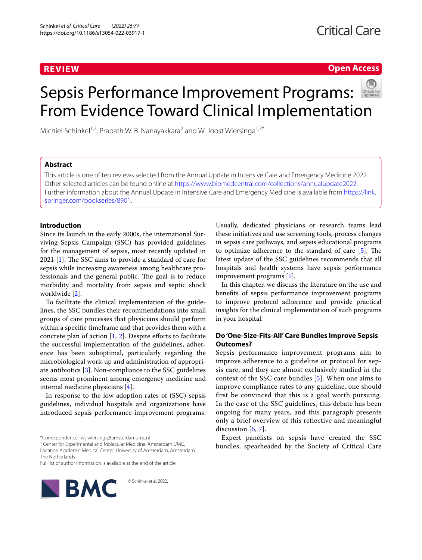# **REVIEW**

# **Open Access**

# Sepsis Performance Improvement Programs: From Evidence Toward Clinical Implementation

Michiel Schinkel<sup>1,2</sup>, Prabath W. B. Nanayakkara<sup>2</sup> and W. Joost Wiersinga<sup>1,3\*</sup>

# **Abstract**

This article is one of ten reviews selected from the Annual Update in Intensive Care and Emergency Medicine 2022. Other selected articles can be found online at <https://www.biomedcentral.com/collections/annualupdate2022>. Further information about the Annual Update in Intensive Care and Emergency Medicine is available from [https://link.](https://link.springer.com/bookseries/8901) [springer.com/bookseries/8901.](https://link.springer.com/bookseries/8901)

# **Introduction**

Since its launch in the early 2000s, the international Surviving Sepsis Campaign (SSC) has provided guidelines for the management of sepsis, most recently updated in 2021 [\[1](#page-6-0)]. The SSC aims to provide a standard of care for sepsis while increasing awareness among healthcare professionals and the general public. The goal is to reduce morbidity and mortality from sepsis and septic shock worldwide [\[2](#page-6-1)].

To facilitate the clinical implementation of the guidelines, the SSC bundles their recommendations into small groups of care processes that physicians should perform within a specific timeframe and that provides them with a concrete plan of action [[1,](#page-6-0) [2\]](#page-6-1). Despite efforts to facilitate the successful implementation of the guidelines, adherence has been suboptimal, particularly regarding the microbiological work-up and administration of appropriate antibiotics [[3\]](#page-6-2). Non-compliance to the SSC guidelines seems most prominent among emergency medicine and internal medicine physicians [[4\]](#page-6-3).

In response to the low adoption rates of (SSC) sepsis guidelines, individual hospitals and organizations have introduced sepsis performance improvement programs.

<sup>1</sup> Center for Experimental and Molecular Medicine, Amsterdam UMC, Location Academic Medical Center, University of Amsterdam, Amsterdam, The Netherlands

© Schinkel et al. 2022.

Full list of author information is available at the end of the article



Usually, dedicated physicians or research teams lead these initiatives and use screening tools, process changes in sepsis care pathways, and sepsis educational programs to optimize adherence to the standard of care [[5\]](#page-6-4). The latest update of the SSC guidelines recommends that all hospitals and health systems have sepsis performance improvement programs [[1\]](#page-6-0).

In this chapter, we discuss the literature on the use and benefits of sepsis performance improvement programs to improve protocol adherence and provide practical insights for the clinical implementation of such programs in your hospital.

# **Do 'One‑Size‑Fits‑All' Care Bundles Improve Sepsis Outcomes?**

Sepsis performance improvement programs aim to improve adherence to a guideline or protocol for sepsis care, and they are almost exclusively studied in the context of the SSC care bundles [[5\]](#page-6-4). When one aims to improve compliance rates to any guideline, one should first be convinced that this is a goal worth pursuing. In the case of the SSC guidelines, this debate has been ongoing for many years, and this paragraph presents only a brief overview of this reflective and meaningful discussion  $[6, 7]$  $[6, 7]$  $[6, 7]$  $[6, 7]$  $[6, 7]$ .

Expert panelists on sepsis have created the SSC bundles, spearheaded by the Society of Critical Care

<sup>\*</sup>Correspondence: w.j.wiersinga@amsterdamumc.nl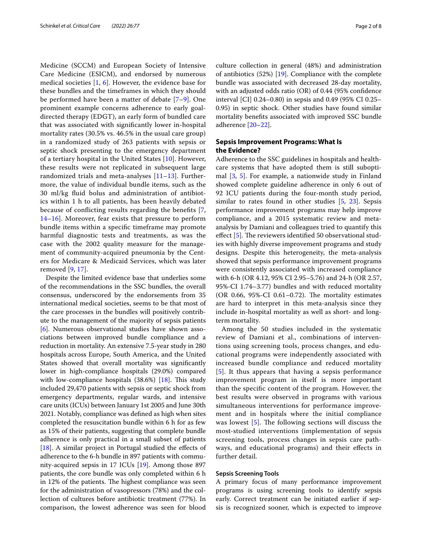Medicine (SCCM) and European Society of Intensive Care Medicine (ESICM), and endorsed by numerous medical societies  $[1, 6]$  $[1, 6]$  $[1, 6]$  $[1, 6]$  $[1, 6]$ . However, the evidence base for these bundles and the timeframes in which they should be performed have been a matter of debate [[7–](#page-6-6)[9\]](#page-6-7). One prominent example concerns adherence to early goaldirected therapy (EDGT), an early form of bundled care that was associated with significantly lower in-hospital mortality rates (30.5% vs. 46.5% in the usual care group) in a randomized study of 263 patients with sepsis or septic shock presenting to the emergency department of a tertiary hospital in the United States [\[10](#page-6-8)]. However, these results were not replicated in subsequent large randomized trials and meta-analyses  $[11-13]$  $[11-13]$ . Furthermore, the value of individual bundle items, such as the 30 ml/kg fluid bolus and administration of antibiotics within 1 h to all patients, has been heavily debated because of conflicting results regarding the benefits [\[7](#page-6-6), [14–](#page-6-11)[16\]](#page-6-12). Moreover, fear exists that pressure to perform bundle items within a specific timeframe may promote harmful diagnostic tests and treatments, as was the case with the 2002 quality measure for the management of community-acquired pneumonia by the Centers for Medicare & Medicaid Services, which was later removed [[9](#page-6-7), [17\]](#page-6-13).

Despite the limited evidence base that underlies some of the recommendations in the SSC bundles, the overall consensus, underscored by the endorsements from 35 international medical societies, seems to be that most of the care processes in the bundles will positively contribute to the management of the majority of sepsis patients [[6\]](#page-6-5). Numerous observational studies have shown associations between improved bundle compliance and a reduction in mortality. An extensive 7.5-year study in 280 hospitals across Europe, South America, and the United States showed that overall mortality was significantly lower in high-compliance hospitals (29.0%) compared with low-compliance hospitals (38.6%) [\[18](#page-6-14)]. This study included 29,470 patients with sepsis or septic shock from emergency departments, regular wards, and intensive care units (ICUs) between January 1st 2005 and June 30th 2021. Notably, compliance was defined as high when sites completed the resuscitation bundle within 6 h for as few as 15% of their patients, suggesting that complete bundle adherence is only practical in a small subset of patients [[18\]](#page-6-14). A similar project in Portugal studied the effects of adherence to the 6-h bundle in 897 patients with community-acquired sepsis in 17 ICUs [[19\]](#page-6-15). Among those 897 patients, the core bundle was only completed within 6 h in 12% of the patients. The highest compliance was seen for the administration of vasopressors (78%) and the collection of cultures before antibiotic treatment (77%). In comparison, the lowest adherence was seen for blood culture collection in general (48%) and administration of antibiotics (52%) [[19\]](#page-6-15). Compliance with the complete bundle was associated with decreased 28-day mortality, with an adjusted odds ratio (OR) of 0.44 (95% confidence interval [CI] 0.24–0.80) in sepsis and 0.49 (95% CI 0.25– 0.95) in septic shock. Other studies have found similar mortality benefits associated with improved SSC bundle adherence [\[20](#page-6-16)–[22\]](#page-6-17).

# **Sepsis Improvement Programs: What Is the Evidence?**

Adherence to the SSC guidelines in hospitals and healthcare systems that have adopted them is still suboptimal [\[3](#page-6-2), [5](#page-6-4)]. For example, a nationwide study in Finland showed complete guideline adherence in only 6 out of 92 ICU patients during the four-month study period, similar to rates found in other studies [[5,](#page-6-4) [23\]](#page-6-18). Sepsis performance improvement programs may help improve compliance, and a 2015 systematic review and metaanalysis by Damiani and colleagues tried to quantify this effect [[5\]](#page-6-4). The reviewers identified 50 observational studies with highly diverse improvement programs and study designs. Despite this heterogeneity, the meta-analysis showed that sepsis performance improvement programs were consistently associated with increased compliance with 6-h (OR 4.12, 95% CI 2.95–5.76) and 24-h (OR 2.57, 95%-CI 1.74–3.77) bundles and with reduced mortality (OR 0.66, 95%-CI 0.61–0.72). The mortality estimates are hard to interpret in this meta-analysis since they include in-hospital mortality as well as short- and longterm mortality.

Among the 50 studies included in the systematic review of Damiani et al., combinations of interventions using screening tools, process changes, and educational programs were independently associated with increased bundle compliance and reduced mortality [[5](#page-6-4)]. It thus appears that having a sepsis performance improvement program in itself is more important than the specific content of the program. However, the best results were observed in programs with various simultaneous interventions for performance improvement and in hospitals where the initial compliance was lowest [[5](#page-6-4)]. The following sections will discuss the most-studied interventions (implementation of sepsis screening tools, process changes in sepsis care pathways, and educational programs) and their effects in further detail.

#### **Sepsis Screening Tools**

A primary focus of many performance improvement programs is using screening tools to identify sepsis early. Correct treatment can be initiated earlier if sepsis is recognized sooner, which is expected to improve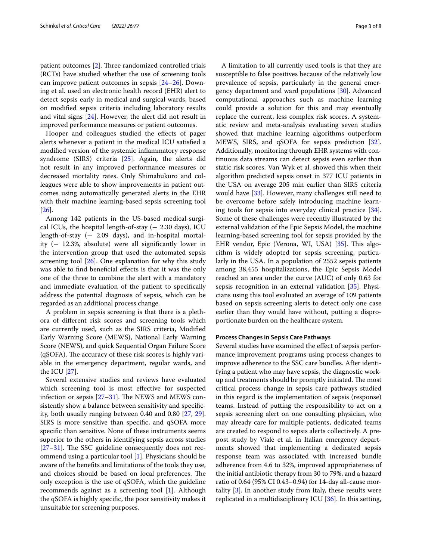patient outcomes [[2\]](#page-6-1). Three randomized controlled trials (RCTs) have studied whether the use of screening tools can improve patient outcomes in sepsis [[24–](#page-6-19)[26](#page-6-20)]. Downing et al. used an electronic health record (EHR) alert to detect sepsis early in medical and surgical wards, based on modified sepsis criteria including laboratory results and vital signs [\[24](#page-6-19)]. However, the alert did not result in improved performance measures or patient outcomes.

Hooper and colleagues studied the effects of pager alerts whenever a patient in the medical ICU satisfied a modified version of the systemic inflammatory response syndrome (SIRS) criteria [[25\]](#page-6-21). Again, the alerts did not result in any improved performance measures or decreased mortality rates. Only Shimabukuro and colleagues were able to show improvements in patient outcomes using automatically generated alerts in the EHR with their machine learning-based sepsis screening tool [[26\]](#page-6-20).

Among 142 patients in the US-based medical-surgical ICUs, the hospital length-of-stay  $(-2.30 \text{ days})$ , ICU length-of-stay (− 2.09 days), and in-hospital mortality  $(-12.3\%$ , absolute) were all significantly lower in the intervention group that used the automated sepsis screening tool  $[26]$  $[26]$  $[26]$ . One explanation for why this study was able to find beneficial effects is that it was the only one of the three to combine the alert with a mandatory and immediate evaluation of the patient to specifically address the potential diagnosis of sepsis, which can be regarded as an additional process change.

A problem in sepsis screening is that there is a plethora of different risk scores and screening tools which are currently used, such as the SIRS criteria, Modified Early Warning Score (MEWS), National Early Warning Score (NEWS), and quick Sequential Organ Failure Score (qSOFA). The accuracy of these risk scores is highly variable in the emergency department, regular wards, and the ICU [\[27\]](#page-6-22).

Several extensive studies and reviews have evaluated which screening tool is most effective for suspected infection or sepsis [\[27–](#page-6-22)[31\]](#page-6-23). The NEWS and MEWS consistently show a balance between sensitivity and specificity, both usually ranging between 0.40 and 0.80 [\[27,](#page-6-22) [29](#page-6-24)]. SIRS is more sensitive than specific, and qSOFA more specific than sensitive. None of these instruments seems superior to the others in identifying sepsis across studies [[27–](#page-6-22)[31](#page-6-23)]. The SSC guideline consequently does not recommend using a particular tool [[1](#page-6-0)]. Physicians should be aware of the benefits and limitations of the tools they use, and choices should be based on local preferences. The only exception is the use of qSOFA, which the guideline recommends against as a screening tool [\[1\]](#page-6-0). Although the qSOFA is highly specific, the poor sensitivity makes it unsuitable for screening purposes.

A limitation to all currently used tools is that they are susceptible to false positives because of the relatively low prevalence of sepsis, particularly in the general emergency department and ward populations [\[30](#page-6-25)]. Advanced computational approaches such as machine learning could provide a solution for this and may eventually replace the current, less complex risk scores. A systematic review and meta-analysis evaluating seven studies showed that machine learning algorithms outperform MEWS, SIRS, and qSOFA for sepsis prediction [\[32](#page-6-26)]. Additionally, monitoring through EHR systems with continuous data streams can detect sepsis even earlier than static risk scores. Van Wyk et al. showed this when their algorithm predicted sepsis onset in 377 ICU patients in the USA on average 205 min earlier than SIRS criteria would have [\[33](#page-6-27)]. However, many challenges still need to be overcome before safely introducing machine learning tools for sepsis into everyday clinical practice [\[34](#page-7-0)]. Some of these challenges were recently illustrated by the external validation of the Epic Sepsis Model, the machine learning-based screening tool for sepsis provided by the EHR vendor, Epic (Verona, WI, USA) [\[35\]](#page-7-1). This algorithm is widely adopted for sepsis screening, particularly in the USA. In a population of 2552 sepsis patients among 38,455 hospitalizations, the Epic Sepsis Model reached an area under the curve (AUC) of only 0.63 for sepsis recognition in an external validation [\[35\]](#page-7-1). Physicians using this tool evaluated an average of 109 patients based on sepsis screening alerts to detect only one case earlier than they would have without, putting a disproportionate burden on the healthcare system.

#### **Process Changes in Sepsis Care Pathways**

Several studies have examined the effect of sepsis performance improvement programs using process changes to improve adherence to the SSC care bundles. After identifying a patient who may have sepsis, the diagnostic workup and treatments should be promptly initiated. The most critical process change in sepsis care pathways studied in this regard is the implementation of sepsis (response) teams. Instead of putting the responsibility to act on a sepsis screening alert on one consulting physician, who may already care for multiple patients, dedicated teams are created to respond to sepsis alerts collectively. A prepost study by Viale et al. in Italian emergency departments showed that implementing a dedicated sepsis response team was associated with increased bundle adherence from 4.6 to 32%, improved appropriateness of the initial antibiotic therapy from 30 to 79%, and a hazard ratio of 0.64 (95% CI 0.43–0.94) for 14-day all-cause mortality [[3\]](#page-6-2). In another study from Italy, these results were replicated in a multidisciplinary ICU [[36](#page-7-2)]. In this setting,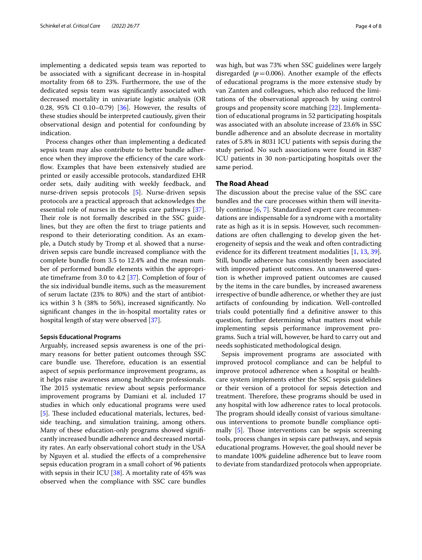implementing a dedicated sepsis team was reported to be associated with a significant decrease in in-hospital mortality from 68 to 23%. Furthermore, the use of the dedicated sepsis team was significantly associated with decreased mortality in univariate logistic analysis (OR 0.28, 95% CI 0.10–0.79) [[36\]](#page-7-2). However, the results of these studies should be interpreted cautiously, given their observational design and potential for confounding by indication.

Process changes other than implementing a dedicated sepsis team may also contribute to better bundle adherence when they improve the efficiency of the care workflow. Examples that have been extensively studied are printed or easily accessible protocols, standardized EHR order sets, daily auditing with weekly feedback, and nurse-driven sepsis protocols [[5\]](#page-6-4). Nurse-driven sepsis protocols are a practical approach that acknowledges the essential role of nurses in the sepsis care pathways [\[37](#page-7-3)]. Their role is not formally described in the SSC guidelines, but they are often the first to triage patients and respond to their deteriorating condition. As an example, a Dutch study by Tromp et al. showed that a nursedriven sepsis care bundle increased compliance with the complete bundle from 3.5 to 12.4% and the mean number of performed bundle elements within the appropriate timeframe from 3.0 to 4.2 [[37\]](#page-7-3). Completion of four of the six individual bundle items, such as the measurement of serum lactate (23% to 80%) and the start of antibiotics within 3 h (38% to 56%), increased significantly. No significant changes in the in-hospital mortality rates or hospital length of stay were observed [[37\]](#page-7-3).

#### **Sepsis Educational Programs**

Arguably, increased sepsis awareness is one of the primary reasons for better patient outcomes through SSC care bundle use. Therefore, education is an essential aspect of sepsis performance improvement programs, as it helps raise awareness among healthcare professionals. The 2015 systematic review about sepsis performance improvement programs by Damiani et al. included 17 studies in which only educational programs were used [[5\]](#page-6-4). These included educational materials, lectures, bedside teaching, and simulation training, among others. Many of these education-only programs showed significantly increased bundle adherence and decreased mortality rates. An early observational cohort study in the USA by Nguyen et al. studied the effects of a comprehensive sepsis education program in a small cohort of 96 patients with sepsis in their ICU [[38](#page-7-4)]. A mortality rate of 45% was observed when the compliance with SSC care bundles was high, but was 73% when SSC guidelines were largely disregarded ( $p=0.006$ ). Another example of the effects of educational programs is the more extensive study by van Zanten and colleagues, which also reduced the limitations of the observational approach by using control groups and propensity score matching [[22](#page-6-17)]. Implementation of educational programs in 52 participating hospitals was associated with an absolute increase of 23.6% in SSC bundle adherence and an absolute decrease in mortality rates of 5.8% in 8031 ICU patients with sepsis during the study period. No such associations were found in 8387 ICU patients in 30 non-participating hospitals over the same period.

### **The Road Ahead**

The discussion about the precise value of the SSC care bundles and the care processes within them will inevitably continue [[6,](#page-6-5) [7\]](#page-6-6). Standardized expert care recommendations are indispensable for a syndrome with a mortality rate as high as it is in sepsis. However, such recommendations are often challenging to develop given the heterogeneity of sepsis and the weak and often contradicting evidence for its different treatment modalities [[1,](#page-6-0) [13](#page-6-10), [39](#page-7-5)]. Still, bundle adherence has consistently been associated with improved patient outcomes. An unanswered question is whether improved patient outcomes are caused by the items in the care bundles, by increased awareness irrespective of bundle adherence, or whether they are just artifacts of confounding by indication. Well-controlled trials could potentially find a definitive answer to this question, further determining what matters most while implementing sepsis performance improvement programs. Such a trial will, however, be hard to carry out and needs sophisticated methodological design.

Sepsis improvement programs are associated with improved protocol compliance and can be helpful to improve protocol adherence when a hospital or healthcare system implements either the SSC sepsis guidelines or their version of a protocol for sepsis detection and treatment. Therefore, these programs should be used in any hospital with low adherence rates to local protocols. The program should ideally consist of various simultaneous interventions to promote bundle compliance optimally [[5\]](#page-6-4). Those interventions can be sepsis screening tools, process changes in sepsis care pathways, and sepsis educational programs. However, the goal should never be to mandate 100% guideline adherence but to leave room to deviate from standardized protocols when appropriate.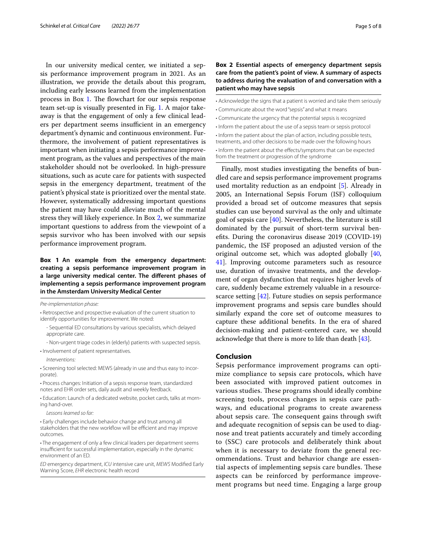In our university medical center, we initiated a sepsis performance improvement program in 2021. As an illustration, we provide the details about this program, including early lessons learned from the implementation process in Box 1. The flowchart for our sepsis response team set-up is visually presented in Fig. [1](#page-5-0). A major takeaway is that the engagement of only a few clinical leaders per department seems insufficient in an emergency department's dynamic and continuous environment. Furthermore, the involvement of patient representatives is important when initiating a sepsis performance improvement program, as the values and perspectives of the main stakeholder should not be overlooked. In high-pressure situations, such as acute care for patients with suspected sepsis in the emergency department, treatment of the patient's physical state is prioritized over the mental state. However, systematically addressing important questions the patient may have could alleviate much of the mental stress they will likely experience. In Box 2, we summarize important questions to address from the viewpoint of a sepsis survivor who has been involved with our sepsis performance improvement program.

# **Box 1 An example from the emergency department: creating a sepsis performance improvement program in a large university medical center. The different phases of implementing a sepsis performance improvement program in the Amsterdam University Medical Center**

*Pre-implementation phase:*

• Retrospective and prospective evaluation of the current situation to identify opportunities for improvement. We noted:

- Sequential ED consultations by various specialists, which delayed appropriate care.

- Non-urgent triage codes in (elderly) patients with suspected sepsis.

• Involvement of patient representatives.

*Interventions:*

• Screening tool selected: MEWS (already in use and thus easy to incorporate).

• Process changes: Initiation of a sepsis response team, standardized notes and EHR order sets, daily audit and weekly feedback.

• Education: Launch of a dedicated website, pocket cards, talks at morning hand-over.

*Lessons learned so far:*

• Early challenges include behavior change and trust among all stakeholders that the new workflow will be efficient and may improve outcomes.

*ED* emergency department, *ICU* intensive care unit, *MEWS* Modified Early Warning Score, *EHR* electronic health record

# **Box 2 Essential aspects of emergency department sepsis care from the patient's point of view. A summary of aspects to address during the evaluation of and conversation with a patient who may have sepsis**

• Acknowledge the signs that a patient is worried and take them seriously

- Communicate about the word "sepsis" and what it means
- Communicate the urgency that the potential sepsis is recognized
- Inform the patient about the use of a sepsis team or sepsis protocol

• Inform the patient about the plan of action, including possible tests,

treatments, and other decisions to be made over the following hours

• Inform the patient about the effects/symptoms that can be expected from the treatment or progression of the syndrome

Finally, most studies investigating the benefits of bundled care and sepsis performance improvement programs used mortality reduction as an endpoint [\[5](#page-6-4)]. Already in 2005, an International Sepsis Forum (ISF) colloquium provided a broad set of outcome measures that sepsis studies can use beyond survival as the only and ultimate goal of sepsis care  $[40]$  $[40]$ . Nevertheless, the literature is still dominated by the pursuit of short-term survival benefits. During the coronavirus disease 2019 (COVID-19) pandemic, the ISF proposed an adjusted version of the original outcome set, which was adopted globally [[40](#page-7-6), [41\]](#page-7-7). Improving outcome parameters such as resource use, duration of invasive treatments, and the development of organ dysfunction that requires higher levels of care, suddenly became extremely valuable in a resourcescarce setting [[42](#page-7-8)]. Future studies on sepsis performance improvement programs and sepsis care bundles should similarly expand the core set of outcome measures to capture these additional benefits. In the era of shared decision-making and patient-centered care, we should acknowledge that there is more to life than death [\[43\]](#page-7-9).

#### **Conclusion**

Sepsis performance improvement programs can optimize compliance to sepsis care protocols, which have been associated with improved patient outcomes in various studies. These programs should ideally combine screening tools, process changes in sepsis care pathways, and educational programs to create awareness about sepsis care. The consequent gains through swift and adequate recognition of sepsis can be used to diagnose and treat patients accurately and timely according to (SSC) care protocols and deliberately think about when it is necessary to deviate from the general recommendations. Trust and behavior change are essential aspects of implementing sepsis care bundles. These aspects can be reinforced by performance improvement programs but need time. Engaging a large group

<sup>•</sup> The engagement of only a few clinical leaders per department seems insufficient for successful implementation, especially in the dynamic environment of an ED.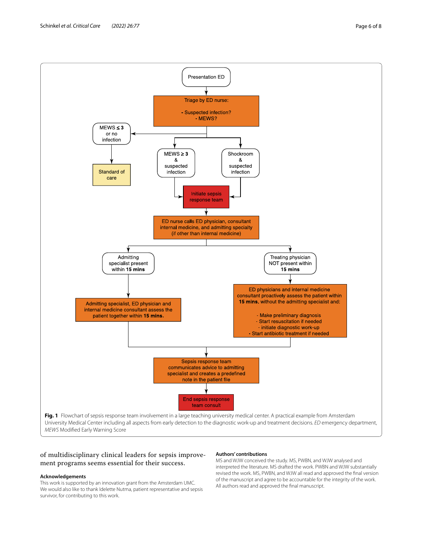

# <span id="page-5-0"></span>of multidisciplinary clinical leaders for sepsis improvement programs seems essential for their success.

#### **Acknowledgements**

This work is supported by an innovation grant from the Amsterdam UMC. We would also like to thank Idelette Nutma, patient representative and sepsis survivor, for contributing to this work.

#### **Authors' contributions**

MS and WJW conceived the study. MS, PWBN, and WJW analysed and interpreted the literature. MS drafted the work. PWBN and WJW substantially revised the work. MS, PWBN, and WJW all read and approved the final version of the manuscript and agree to be accountable for the integrity of the work. All authors read and approved the final manuscript.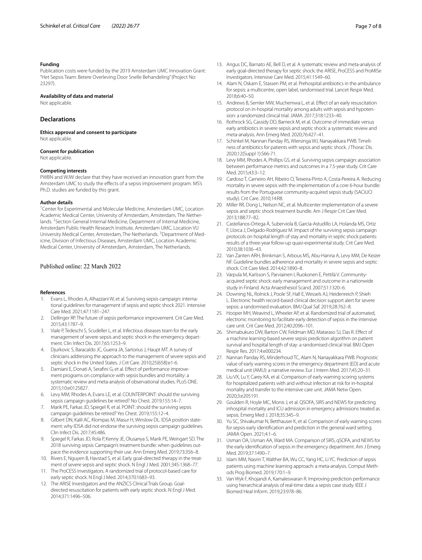#### **Funding**

Publication costs were funded by the 2019 Amsterdam UMC Innovation Grant: "Het Sepsis Team: Betere Overleving Door Snelle Behandeling" (Project No: 23297).

#### **Availability of data and material**

Not applicable.

# **Declarations**

**Ethics approval and consent to participate** Not applicable.

#### **Consent for publication**

Not applicable.

#### **Competing interests**

PWBN and WJW declare that they have received an innovation grant from the Amsterdam UMC to study the effects of a sepsis improvement program. MS's Ph.D. studies are funded by this grant.

#### **Author details**

<sup>1</sup> Center for Experimental and Molecular Medicine, Amsterdam UMC, Location Academic Medical Center, University of Amsterdam, Amsterdam, The Netherlands. <sup>2</sup> Section General Internal Medicine, Department of Internal Medicine, Amsterdam Public Health Research Institute, Amsterdam UMC, Location VU University Medical Center, Amsterdam, The Netherlands. <sup>3</sup> Department of Medicine, Division of Infectious Diseases, Amsterdam UMC, Location Academic Medical Center, University of Amsterdam, Amsterdam, The Netherlands.

# Published online: 22 March 2022

#### **References**

- <span id="page-6-0"></span>1. Evans L, Rhodes A, Alhazzani W, et al. Surviving sepsis campaign: international guidelines for management of sepsis and septic shock 2021. Intensive Care Med. 2021;47:1181–247.
- <span id="page-6-1"></span>2. Dellinger RP. The future of sepsis performance improvement. Crit Care Med. 2015;43:1787–9.
- <span id="page-6-2"></span>3. Viale P, Tedeschi S, Scudeller L, et al. Infectious diseases team for the early management of severe sepsis and septic shock in the emergency department. Clin Infect Dis. 2017;65:1253–9.
- <span id="page-6-3"></span>4. Djurkovic S, Baracaldo JC, Guerra JA, Sartorius J, Haupt MT. A survey of clinicians addressing the approach to the management of severe sepsis and septic shock in the United States. J Crit Care. 2010;25(658):e1-6.
- <span id="page-6-4"></span>5. Damiani E, Donati A, Serafini G, et al. Effect of performance improvement programs on compliance with sepsis bundles and mortality: a systematic review and meta-analysis of observational studies. PLoS ONE. 2015;10:e0125827.
- <span id="page-6-5"></span>6. Levy MM, Rhodes A, Evans LE, et al. COUNTERPOINT: should the surviving sepsis campaign guidelines be retired? No Chest. 2019;155:14–7.
- <span id="page-6-6"></span>7. Marik PE, Farkas JD, Spiegel R, et al. POINT: should the surviving sepsis campaign guidelines be retired? Yes Chest. 2019;155:12–4.
- 8. Gilbert DN, Kalil AC, Klompas M, Masur H, Winslow DL. IDSA position statement: why IDSA did not endorse the surviving sepsis campaign guidelines. Clin Infect Dis. 2017;45:486.
- <span id="page-6-7"></span>9. Spiegel R, Farkas JD, Rola P, Kenny JE, Olusanya S, Marik PE, Weingart SD. The 2018 surviving sepsis Campaign's treatment bundle: when guidelines outpace the evidence supporting their use. Ann Emerg Med. 2019;73:356–8.
- <span id="page-6-8"></span>10. Rivers E, Nguyen B, Havstad S, et al. Early goal-directed therapy in the treatment of severe sepsis and septic shock. N Engl J Med. 2001;345:1368–77.
- <span id="page-6-9"></span>11. The ProCESS Investigators. A randomized trial of protocol-based care for early septic shock. N Engl J Med. 2014;370:1683–93.
- 12. The ARISE Investigators and the ANZICS Clinical Trials Group. Goaldirected resuscitation for patients with early septic shock. N Engl J Med. 2014;371:1496–506.
- <span id="page-6-10"></span>13. Angus DC, Barnato AE, Bell D, et al. A systematic review and meta-analysis of early goal-directed therapy for septic shock: the ARISE, ProCESS and ProMISe Investigators. Intensive Care Med. 2015;41:1549–60.
- <span id="page-6-11"></span>14. Alam N, Oskam E, Stassen PM, et al. Prehospital antibiotics in the ambulance for sepsis: a multicentre, open label, randomised trial. Lancet Respir Med. 2018;6:40–50.
- 15. Andrews B, Semler MW, Muchemwa L, et al. Effect of an early resuscitation protocol on in-hospital mortality among adults with sepsis and hypotension: a randomized clinical trial. JAMA. 2017;318:1233–40.
- <span id="page-6-12"></span>16. Rothrock SG, Cassidy DD, Barneck M, et al. Outcome of immediate versus early antibiotics in severe sepsis and septic shock: a systematic review and meta-analysis. Ann Emerg Med. 2020;76:427–41.
- <span id="page-6-13"></span>17. Schinkel M, Nannan Panday RS, Wiersinga WJ, Nanayakkara PWB. Timeliness of antibiotics for patients with sepsis and septic shock. J Thorac Dis. 2020;12(Suppl 1):S66-71.
- <span id="page-6-14"></span>18. Levy MM, Rhodes A, Phillips GS, et al. Surviving sepsis campaign: association between performance metrics and outcomes in a 7.5-year study. Crit Care Med. 2015;43:3–12.
- <span id="page-6-15"></span>19. Cardoso T, Carneiro AH, Ribeiro O, Teixeira-Pinto A, Costa-Pereira A. Reducing mortality in severe sepsis with the implementation of a core 6-hour bundle: results from the Portuguese community-acquired sepsis study (SACiUCI study). Crit Care. 2010;14:R8.
- <span id="page-6-16"></span>20. Miller RR, Dong L, Nelson NC, et al. Multicenter implementation of a severe sepsis and septic shock treatment bundle. Am J Respir Crit Care Med. 2013;188:77–82.
- 21. Castellanos-Ortega Á, Suberviola B, García-Astudillo LA, Holanda MS, Ortiz F, Llorca J, Delgado-Rodríguez M. Impact of the surviving sepsis campaign protocols on hospital length of stay and mortality in septic shock patients: results of a three-year follow-up quasi-experimental study. Crit Care Med. 2010;38:1036–43.
- <span id="page-6-17"></span>22. Van Zanten ARH, Brinkman S, Arbous MS, Abu-Hanna A, Levy MM, De Keizer NF. Guideline bundles adherence and mortality in severe sepsis and septic shock. Crit Care Med. 2014;42:1890–8.
- <span id="page-6-18"></span>23. Varpula M, Karlsson S, Parviainen I, Ruokonen E, Pettilä V. Communityacquired septic shock: early management and outcome in a nationwide study in Finland. Acta Anaesthesiol Scand. 2007;51:1320–6.
- <span id="page-6-19"></span>24. Downing NL, Rolnick J, Poole SF, Hall E, Wessels AJ, Heidenreich P, Shieh L. Electronic health record-based clinical decision support alert for severe sepsis: a randomised evaluation. BMJ Qual Saf. 2019;28:762–8.
- <span id="page-6-21"></span>25. Hooper MH, Weavind L, Wheeler AP, et al. Randomized trial of automated, electronic monitoring to facilitate early detection of sepsis in the intensive care unit. Crit Care Med. 2012;40:2096–101.
- <span id="page-6-20"></span>26. Shimabukuro DW, Barton CW, Feldman MD, Mataraso SJ, Das R. Effect of a machine learning-based severe sepsis prediction algorithm on patient survival and hospital length of stay: a randomised clinical trial. BMJ Open Respir Res. 2017;4:e000234.
- <span id="page-6-22"></span>27. Nannan Panday RS, Minderhoud TC, Alam N, Nanayakkara PWB. Prognostic value of early warning scores in the emergency department (ED) and acute medical unit (AMU): a narrative review. Eur J Intern Med. 2017;45:20–31.
- 28. Liu VX, Lu Y, Carey KA, et al. Comparison of early warning scoring systems for hospitalized patients with and without infection at risk for in-hospital mortality and transfer to the intensive care unit. JAMA Netw Open. 2020;3:e205191.
- <span id="page-6-24"></span>29. Goulden R, Hoyle MC, Monis J, et al. QSOFA, SIRS and NEWS for predicting inhospital mortality and ICU admission in emergency admissions treated as sepsis. Emerg Med J. 2018;35:345–9.
- <span id="page-6-25"></span>30. Yu SC, Shivakumar N, Betthauser K, et al. Comparison of early warning scores for sepsis early identification and prediction in the general ward setting. JAMIA Open. 2021;4:1–6.
- <span id="page-6-23"></span>31. Usman OA, Usman AA, Ward MA. Comparison of SIRS, qSOFA, and NEWS for the early identification of sepsis in the emergency department. Am J Emerg Med. 2019;37:1490–7.
- <span id="page-6-26"></span>32. Islam MM, Nasrin T, Walther BA, Wu CC, Yang HC, Li YC. Prediction of sepsis patients using machine learning approach: a meta-analysis. Comput Methods Prog Biomed. 2019;170:1–9.
- <span id="page-6-27"></span>33. Van Wyk F, Khojandi A, Kamaleswaran R. Improving prediction performance using hierarchical analysis of real-time data: a sepsis case study. IEEE J Biomed Heal Inform. 2019;23:978–86.